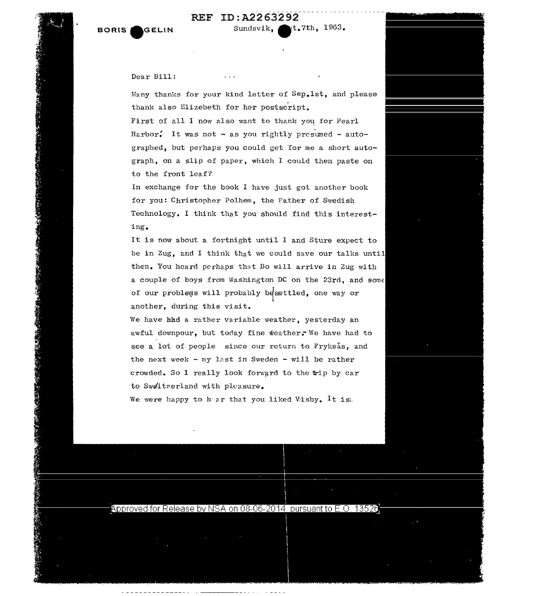

----------------------- REF ID:A2263292



**大学 化学 化学 化学** 

**PARTICULAR PROPERTY AND INCOME.** 

A STAR A STRING AND THE STAR AND A STRING AND

## Dear Bill:

Many thanks for your kind letter of Sep.1st, and please thank also Elizebeth for her postscript.

First of all I now also want to thank yoq for Pearl Harbor. It was not - as you rightly presumed - autographed, but perhaps you could get 'for me a short autograph, on a slip of paper, which I could then paste on to the front leaf?

In exchange for the book I have just got another book for you: Christopher Polhem, the Father of Swedish Technology. I think that you should find this interesting.

It is now about a fortnight until I and Sture expect to be in Zug, and I think that we could save our talks until then. You heard perhaps that Bo will arrive in Zug with a couple of boys from Washington DC on the 23rd, and some of our problems will probably besettled, one way or another, during this visit.

We have hhd a rather variable weather, yesterday an awful downpour, but today fine weather, We have had to see a lot of people since our return to Fryksas, and the next week - my last in Sweden - will be rather crowded. So I really look forward to the trip by car to Sweitzerland with pleasure.

We were happy to hear that you liked Visby. It is:



Approved for Release by NSA on 08-06-2014 pursuant to E.O. 13526